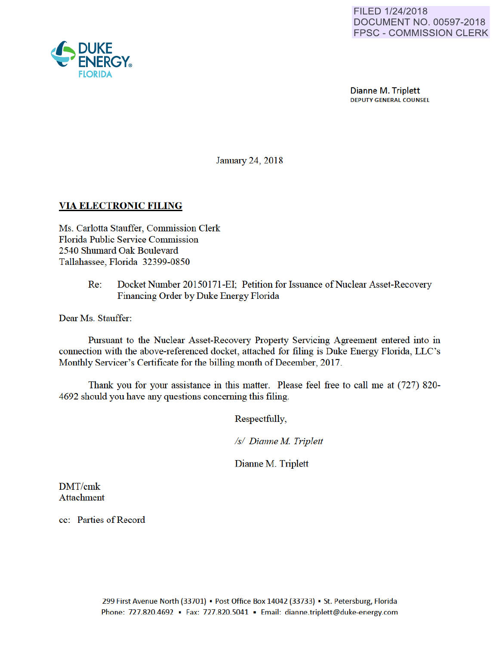

Dianne M. Triplett DEPUTY GENERAL COUNSEL

January 24, 2018

## VIA ELECTRONIC FILING

Ms. Carlotta Stauffer, Commission Clerk Florida Public Service Commission 2540 Shumard Oak Boulevard Tallahassee, Florida 32399-0850

> Re: Docket Number 20150171-EI; Petition for Issuance of Nuclear Asset-Recovery Financing Order by Duke Energy Florida

Dear Ms. Stauffer:

Pursuant to the Nuclear Asset-Recovery Property Servicing Agreement entered into in connection with the above-referenced docket, attached for filing is Duke Energy Florida, LLC's Monthly Servicer's Certificate for the billing month of December, 2017.

Thank you for your assistance in this matter. Please feel free to call me at (727) 820- 4692 should you have any questions conceming this filing.

Respectfully,

*Is/ Dianne M Triplett* 

Dianne M. Triplett

DMT/cmk Attachment

cc: Parties of Record

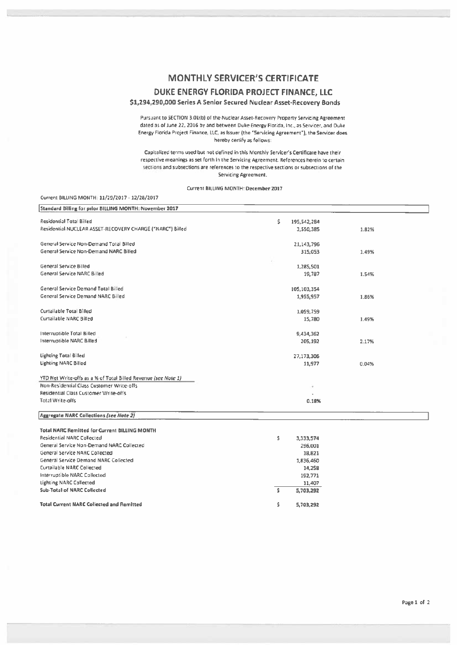## **MONTHLY SERVICER'S CERTIFICATE**

DUKE ENERGY FLORIDA PROJECT FINANCE, LLC

\$1,294,290,000 Series A Senior Secured Nuclear Asset-Recovery Bonds

Pursuant to SECTION 3.01(b) of the Nuclear Asset-Recovery Property Servicing Agreement dated as of June 22, 2016 by and between Duke Energy Florida, Inc., as Servicer, and Duke Energy Florida Project Finance, LLC, as Issuer (the "Servicing Agreement"), the Servicer does hereby certify as follows:

Capitalized terms used but not defined in this Monthly Servicer's Certificate have their respective meanings as set forth in the Servicing Agreement. References herein to certain sections and subsections are references to the respective sections or subsections of the Servicing Agreement,

## Current BILLING MONTH: December 2017

| Current BILLING MONTH: 11/29/2017 - 12/28/2017                 |       |             |       |  |
|----------------------------------------------------------------|-------|-------------|-------|--|
| Standard Billing for prior BILLING MONTH: November 2017        |       |             |       |  |
| <b>Residential Total Billed</b>                                | Ś.    | 195,542,284 |       |  |
| Residential NUCLEAR ASSET-RECOVERY CHARGE ("NARC") Billed      |       | 3,550,385   | 1.82% |  |
| General Service Non-Demand Total Billed                        |       | 21,143,796  |       |  |
| General Service Non-Demand NARC Billed                         |       | 315,053     | 1.49% |  |
| General Service Billed                                         |       | 1,285,501   |       |  |
| <b>General Service NARC Billed</b>                             |       | 19,787      | 1.54% |  |
| General Service Demand Total Billed                            |       | 105,103,354 |       |  |
| General Service Demand NARC Billed                             |       | 1,955,957   | 1.86% |  |
| Curtailable Total Billed                                       |       | 1.059.759   |       |  |
| Curtailable NARC Billed                                        |       | 15,780      | 1.49% |  |
| Interruptible Total Billed                                     |       | 9,434,362   |       |  |
| Interruptible NARC Billed                                      |       | 205,192     | 2.17% |  |
| Lighting Total Billed                                          |       | 27,173,306  |       |  |
| Lighting NARC Billed                                           |       | 11,977      | 0.04% |  |
| YTD Net Write-offs as a % of Total Billed Revenue (see Note 1) |       |             |       |  |
| Non-Residential Class Customer Write-offs                      |       |             |       |  |
| Residential Class Customer Write-offs                          |       |             |       |  |
| Total Write-offs                                               | 0.18% |             |       |  |
| Aggregate NARC Collections (see Note 2)                        |       |             |       |  |
| <b>Total NARC Remitted for Current BILLING MONTH</b>           |       |             |       |  |
| Residential NARC Collected                                     | s     | 3,333,574   |       |  |

| Residential NARC Collected                       |   | 3,333,574 |
|--------------------------------------------------|---|-----------|
| General Service Non-Demand NARC Collected        |   | 296.001   |
| General Service NARC Collected                   |   | 18,821    |
| General Service Demand NARC Collected            |   | 1,836,460 |
| Curtailable NARC Collected                       |   | 14,258    |
| Interruptible NARC Collected                     |   | 192,771   |
| Lighting NARC Collected                          |   | 11,407    |
| Sub-Total of NARC Collected                      | Ŝ | 5,703,292 |
| <b>Total Current NARC Collected and Remitted</b> | s | 5.703.292 |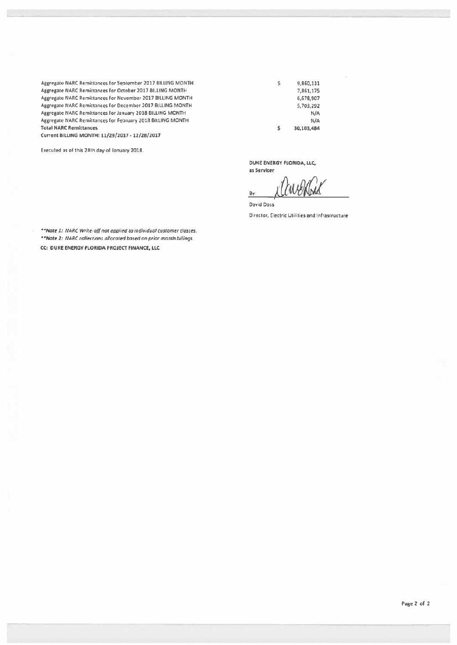Aggregate NARC Remittances lor September 2017 BilliNG MONTH Aggregate NARC Remittances for October 2017 BILLING MONTH Aeeregate NARC Remittances lor November 2017 BilliNG MONTH Aggregate NARC Remittances for December 2017 BILLING MONTH Aggregate NARC Remittances for January 2018 BILLING MONTH Aggregate NARC Remittances for February 2018 BILLING MONTH Total NARC Remittances

Current BILLING MONTH: 11/29/2017 • 12/28/2017

Executed as of this 24th day of January 2018.

9,860,111 \$ 7,861,175 6,678,907 5,703,292 N/A N/A 30,103,484 s

DUKE ENERGY FLORIDA, LLC,

as Servicer Bv

David Doss Director, Electric Utilities and Infrastructure

\*\*Nate 1: NARC Write-off not applied to individual customer classes. \*\*Note 2: NARC collections ollocated based on prior month billings. CC: OUK£ ENERGY fLORIDA PROJECT FINANCE, LLC